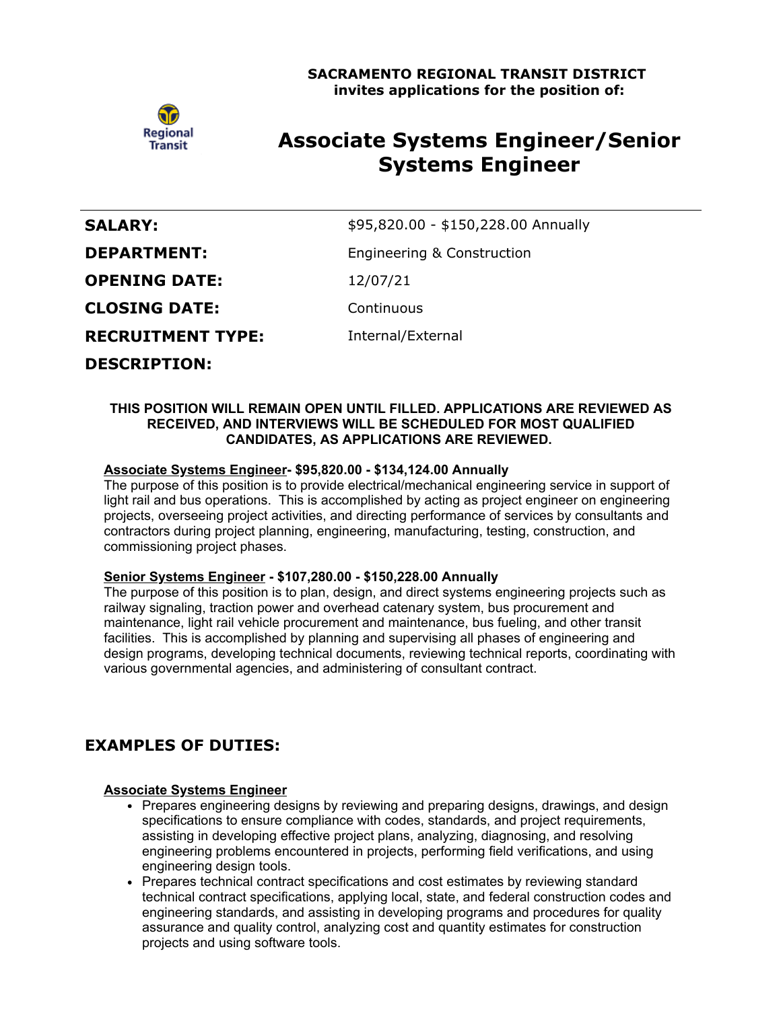

# **Associate Systems Engineer/Senior Systems Engineer**

| <b>SALARY:</b>           | \$95,820.00 - \$150,228.00 Annually |
|--------------------------|-------------------------------------|
| <b>DEPARTMENT:</b>       | Engineering & Construction          |
| <b>OPENING DATE:</b>     | 12/07/21                            |
| <b>CLOSING DATE:</b>     | Continuous                          |
| <b>RECRUITMENT TYPE:</b> | Internal/External                   |
| <b>DESCRIPTION:</b>      |                                     |

#### **THIS POSITION WILL REMAIN OPEN UNTIL FILLED. APPLICATIONS ARE REVIEWED AS RECEIVED, AND INTERVIEWS WILL BE SCHEDULED FOR MOST QUALIFIED CANDIDATES, AS APPLICATIONS ARE REVIEWED.**

## **Associate Systems Engineer- \$95,820.00 - \$134,124.00 Annually**

The purpose of this position is to provide electrical/mechanical engineering service in support of light rail and bus operations. This is accomplished by acting as project engineer on engineering projects, overseeing project activities, and directing performance of services by consultants and contractors during project planning, engineering, manufacturing, testing, construction, and commissioning project phases.

## **Senior Systems Engineer - \$107,280.00 - \$150,228.00 Annually**

The purpose of this position is to plan, design, and direct systems engineering projects such as railway signaling, traction power and overhead catenary system, bus procurement and maintenance, light rail vehicle procurement and maintenance, bus fueling, and other transit facilities. This is accomplished by planning and supervising all phases of engineering and design programs, developing technical documents, reviewing technical reports, coordinating with various governmental agencies, and administering of consultant contract.

# **EXAMPLES OF DUTIES:**

## **Associate Systems Engineer**

- Prepares engineering designs by reviewing and preparing designs, drawings, and design specifications to ensure compliance with codes, standards, and project requirements, assisting in developing effective project plans, analyzing, diagnosing, and resolving engineering problems encountered in projects, performing field verifications, and using engineering design tools.
- Prepares technical contract specifications and cost estimates by reviewing standard technical contract specifications, applying local, state, and federal construction codes and engineering standards, and assisting in developing programs and procedures for quality assurance and quality control, analyzing cost and quantity estimates for construction projects and using software tools.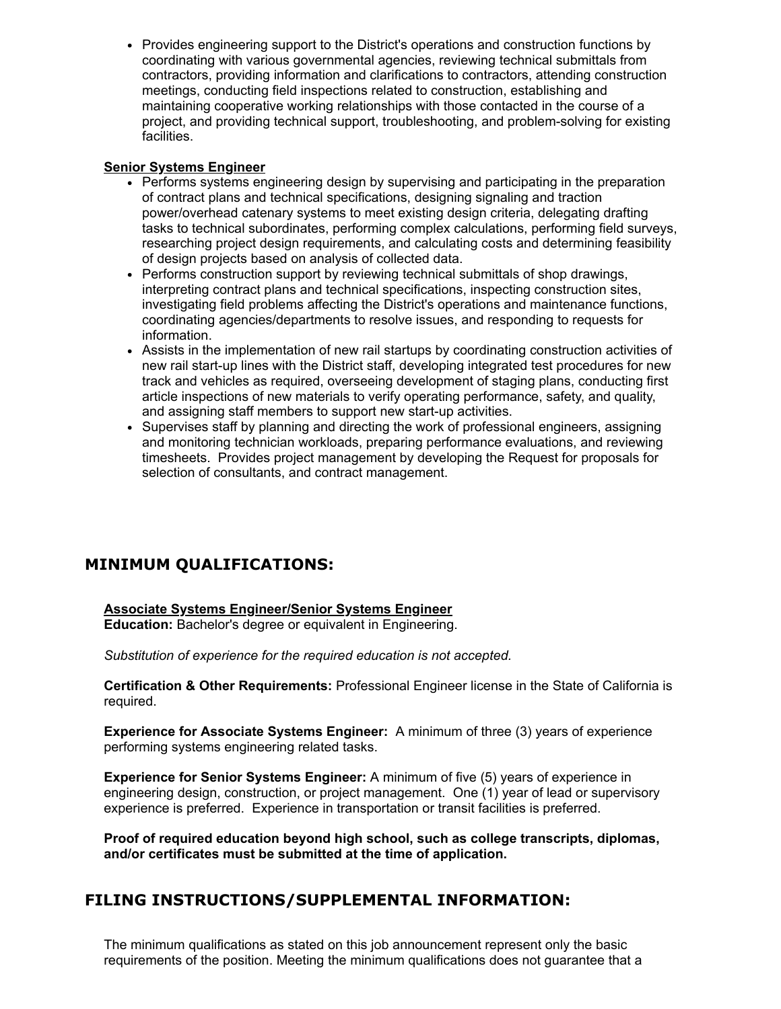• Provides engineering support to the District's operations and construction functions by coordinating with various governmental agencies, reviewing technical submittals from contractors, providing information and clarifications to contractors, attending construction meetings, conducting field inspections related to construction, establishing and maintaining cooperative working relationships with those contacted in the course of a project, and providing technical support, troubleshooting, and problem-solving for existing facilities.

# **Senior Systems Engineer**

- Performs systems engineering design by supervising and participating in the preparation of contract plans and technical specifications, designing signaling and traction power/overhead catenary systems to meet existing design criteria, delegating drafting tasks to technical subordinates, performing complex calculations, performing field surveys, researching project design requirements, and calculating costs and determining feasibility of design projects based on analysis of collected data.
- Performs construction support by reviewing technical submittals of shop drawings, interpreting contract plans and technical specifications, inspecting construction sites, investigating field problems affecting the District's operations and maintenance functions, coordinating agencies/departments to resolve issues, and responding to requests for information.
- Assists in the implementation of new rail startups by coordinating construction activities of new rail start-up lines with the District staff, developing integrated test procedures for new track and vehicles as required, overseeing development of staging plans, conducting first article inspections of new materials to verify operating performance, safety, and quality, and assigning staff members to support new start-up activities.
- Supervises staff by planning and directing the work of professional engineers, assigning and monitoring technician workloads, preparing performance evaluations, and reviewing timesheets. Provides project management by developing the Request for proposals for selection of consultants, and contract management.

# **MINIMUM QUALIFICATIONS:**

# **Associate Systems Engineer/Senior Systems Engineer**

**Education:** Bachelor's degree or equivalent in Engineering.

*Substitution of experience for the required education is not accepted.*

**Certification & Other Requirements:** Professional Engineer license in the State of California is required.

**Experience for Associate Systems Engineer:** A minimum of three (3) years of experience performing systems engineering related tasks.

**Experience for Senior Systems Engineer:** A minimum of five (5) years of experience in engineering design, construction, or project management. One (1) year of lead or supervisory experience is preferred. Experience in transportation or transit facilities is preferred.

**Proof of required education beyond high school, such as college transcripts, diplomas, and/or certificates must be submitted at the time of application.**

# **FILING INSTRUCTIONS/SUPPLEMENTAL INFORMATION:**

The minimum qualifications as stated on this job announcement represent only the basic requirements of the position. Meeting the minimum qualifications does not guarantee that a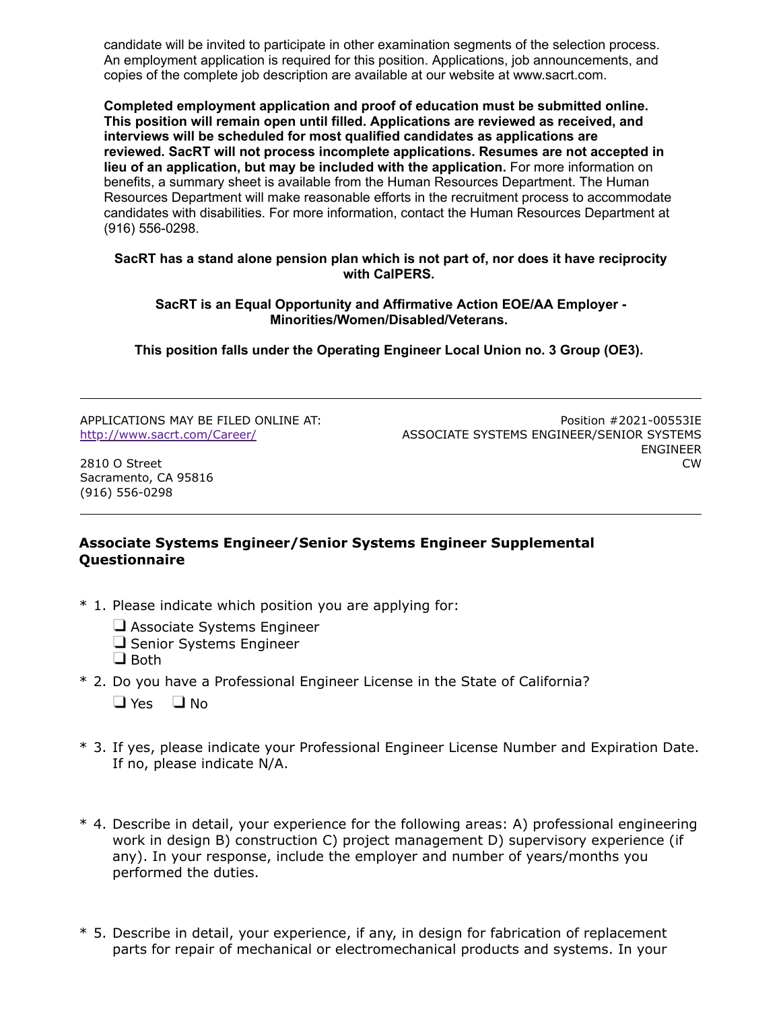candidate will be invited to participate in other examination segments of the selection process. An employment application is required for this position. Applications, job announcements, and copies of the complete job description are available at our website at www.sacrt.com.

**Completed employment application and proof of education must be submitted online. This position will remain open until filled. Applications are reviewed as received, and interviews will be scheduled for most qualified candidates as applications are reviewed. SacRT will not process incomplete applications. Resumes are not accepted in lieu of an application, but may be included with the application.** For more information on benefits, a summary sheet is available from the Human Resources Department. The Human Resources Department will make reasonable efforts in the recruitment process to accommodate candidates with disabilities. For more information, contact the Human Resources Department at (916) 556-0298.

#### **SacRT has a stand alone pension plan which is not part of, nor does it have reciprocity with CalPERS.**

#### **SacRT is an Equal Opportunity and Affirmative Action EOE/AA Employer - Minorities/Women/Disabled/Veterans.**

**This position falls under the Operating Engineer Local Union no. 3 Group (OE3).**

APPLICATIONS MAY BE FILED ONLINE AT: <http://www.sacrt.com/Career/>

Position #2021-00553IE ASSOCIATE SYSTEMS ENGINEER/SENIOR SYSTEMS ENGINEER CW

2810 O Street Sacramento, CA 95816 (916) 556-0298

# **Associate Systems Engineer/Senior Systems Engineer Supplemental Questionnaire**

- \* 1. Please indicate which position you are applying for:
	- Associate Systems Engineer
	- $\Box$  Senior Systems Engineer
	- $\Box$  Both
- \* 2. Do you have a Professional Engineer License in the State of California?  $\Box$  Yes  $\Box$  No
- \* 3. If yes, please indicate your Professional Engineer License Number and Expiration Date. If no, please indicate N/A.
- \* 4. Describe in detail, your experience for the following areas: A) professional engineering work in design B) construction C) project management D) supervisory experience (if any). In your response, include the employer and number of years/months you performed the duties.
- \* 5. Describe in detail, your experience, if any, in design for fabrication of replacement parts for repair of mechanical or electromechanical products and systems. In your